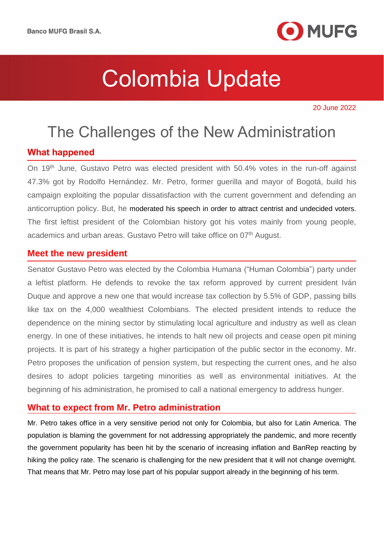

20 June 2022

# The Challenges of the New Administration

### **What happened**

On 19th June, Gustavo Petro was elected president with 50.4% votes in the run-off against 47.3% got by Rodolfo Hernández. Mr. Petro, former guerilla and mayor of Bogotá, build his campaign exploiting the popular dissatisfaction with the current government and defending an anticorruption policy. But, he moderated his speech in order to attract centrist and undecided voters. The first leftist president of the Colombian history got his votes mainly from young people, academics and urban areas. Gustavo Petro will take office on 07<sup>th</sup> August.

### **Meet the new president**

Senator Gustavo Petro was elected by the Colombia Humana ("Human Colombia") party under a leftist platform. He defends to revoke the tax reform approved by current president Iván Duque and approve a new one that would increase tax collection by 5.5% of GDP, passing bills like tax on the 4,000 wealthiest Colombians. The elected president intends to reduce the dependence on the mining sector by stimulating local agriculture and industry as well as clean energy. In one of these initiatives, he intends to halt new oil projects and cease open pit mining projects. It is part of his strategy a higher participation of the public sector in the economy. Mr. Petro proposes the unification of pension system, but respecting the current ones, and he also desires to adopt policies targeting minorities as well as environmental initiatives. At the beginning of his administration, he promised to call a national emergency to address hunger.

## **What to expect from Mr. Petro administration**

Mr. Petro takes office in a very sensitive period not only for Colombia, but also for Latin America. The population is blaming the government for not addressing appropriately the pandemic, and more recently the government popularity has been hit by the scenario of increasing inflation and BanRep reacting by hiking the policy rate. The scenario is challenging for the new president that it will not change overnight. That means that Mr. Petro may lose part of his popular support already in the beginning of his term.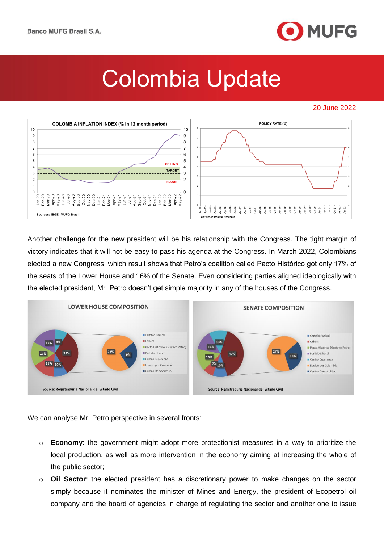

### 20 June 2022



Another challenge for the new president will be his relationship with the Congress. The tight margin of victory indicates that it will not be easy to pass his agenda at the Congress. In March 2022, Colombians elected a new Congress, which result shows that Petro's coalition called Pacto Histórico got only 17% of the seats of the Lower House and 16% of the Senate. Even considering parties aligned ideologically with the elected president, Mr. Petro doesn't get simple majority in any of the houses of the Congress.



We can analyse Mr. Petro perspective in several fronts:

- o **Economy**: the government might adopt more protectionist measures in a way to prioritize the local production, as well as more intervention in the economy aiming at increasing the whole of the public sector;
- o **Oil Sector**: the elected president has a discretionary power to make changes on the sector simply because it nominates the minister of Mines and Energy, the president of Ecopetrol oil company and the board of agencies in charge of regulating the sector and another one to issue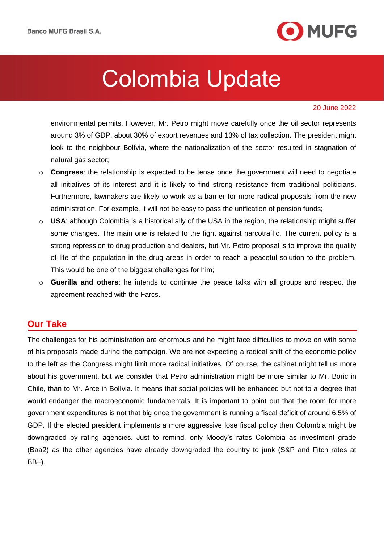

#### 20 June 2022

environmental permits. However, Mr. Petro might move carefully once the oil sector represents around 3% of GDP, about 30% of export revenues and 13% of tax collection. The president might look to the neighbour Bolívia, where the nationalization of the sector resulted in stagnation of natural gas sector;

- o **Congress**: the relationship is expected to be tense once the government will need to negotiate all initiatives of its interest and it is likely to find strong resistance from traditional politicians. Furthermore, lawmakers are likely to work as a barrier for more radical proposals from the new administration. For example, it will not be easy to pass the unification of pension funds;
- o **USA**: although Colombia is a historical ally of the USA in the region, the relationship might suffer some changes. The main one is related to the fight against narcotraffic. The current policy is a strong repression to drug production and dealers, but Mr. Petro proposal is to improve the quality of life of the population in the drug areas in order to reach a peaceful solution to the problem. This would be one of the biggest challenges for him;
- o **Guerilla and others**: he intends to continue the peace talks with all groups and respect the agreement reached with the Farcs.

### **Our Take**

The challenges for his administration are enormous and he might face difficulties to move on with some of his proposals made during the campaign. We are not expecting a radical shift of the economic policy to the left as the Congress might limit more radical initiatives. Of course, the cabinet might tell us more about his government, but we consider that Petro administration might be more similar to Mr. Boric in Chile, than to Mr. Arce in Bolívia. It means that social policies will be enhanced but not to a degree that would endanger the macroeconomic fundamentals. It is important to point out that the room for more government expenditures is not that big once the government is running a fiscal deficit of around 6.5% of GDP. If the elected president implements a more aggressive lose fiscal policy then Colombia might be downgraded by rating agencies. Just to remind, only Moody's rates Colombia as investment grade (Baa2) as the other agencies have already downgraded the country to junk (S&P and Fitch rates at BB+).